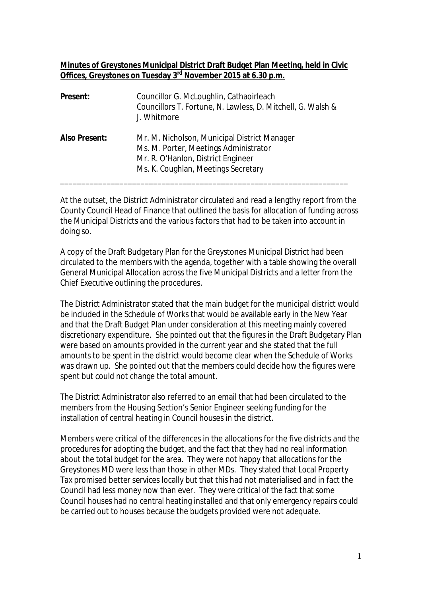## **Minutes of Greystones Municipal District Draft Budget Plan Meeting, held in Civic Offices, Greystones on Tuesday 3rd November 2015 at 6.30 p.m.**

| Present:      | Councillor G. McLoughlin, Cathaoirleach<br>Councillors T. Fortune, N. Lawless, D. Mitchell, G. Walsh &<br>J. Whitmore                                              |
|---------------|--------------------------------------------------------------------------------------------------------------------------------------------------------------------|
| Also Present: | Mr. M. Nicholson, Municipal District Manager<br>Ms. M. Porter, Meetings Administrator<br>Mr. R. O'Hanlon, District Engineer<br>Ms. K. Coughlan, Meetings Secretary |

At the outset, the District Administrator circulated and read a lengthy report from the County Council Head of Finance that outlined the basis for allocation of funding across the Municipal Districts and the various factors that had to be taken into account in doing so.

A copy of the Draft Budgetary Plan for the Greystones Municipal District had been circulated to the members with the agenda, together with a table showing the overall General Municipal Allocation across the five Municipal Districts and a letter from the Chief Executive outlining the procedures.

The District Administrator stated that the main budget for the municipal district would be included in the Schedule of Works that would be available early in the New Year and that the Draft Budget Plan under consideration at this meeting mainly covered discretionary expenditure. She pointed out that the figures in the Draft Budgetary Plan were based on amounts provided in the current year and she stated that the full amounts to be spent in the district would become clear when the Schedule of Works was drawn up. She pointed out that the members could decide how the figures were spent but could not change the total amount.

The District Administrator also referred to an email that had been circulated to the members from the Housing Section's Senior Engineer seeking funding for the installation of central heating in Council houses in the district.

Members were critical of the differences in the allocations for the five districts and the procedures for adopting the budget, and the fact that they had no real information about the total budget for the area. They were not happy that allocations for the Greystones MD were less than those in other MDs. They stated that Local Property Tax promised better services locally but that this had not materialised and in fact the Council had less money now than ever. They were critical of the fact that some Council houses had no central heating installed and that only emergency repairs could be carried out to houses because the budgets provided were not adequate.